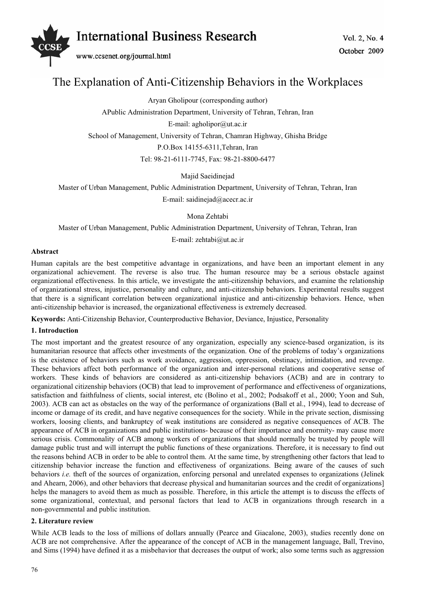# Vol. 2, No. 4 *International Business Research* www.ccsenet.org/journal.html

# The Explanation of Anti-Citizenship Behaviors in the Workplaces

Aryan Gholipour (corresponding author) APublic Administration Department, University of Tehran, Tehran, Iran E-mail: agholipor@ut.ac.ir School of Management, University of Tehran, Chamran Highway, Ghisha Bridge P.O.Box 14155-6311,Tehran, Iran Tel: 98-21-6111-7745, Fax: 98-21-8800-6477

Majid Saeidinejad

Master of Urban Management, Public Administration Department, University of Tehran, Tehran, Iran

E-mail: saidinejad@acecr.ac.ir

Mona Zehtabi

Master of Urban Management, Public Administration Department, University of Tehran, Tehran, Iran

E-mail: zehtabi@ut.ac.ir

# **Abstract**

Human capitals are the best competitive advantage in organizations, and have been an important element in any organizational achievement. The reverse is also true. The human resource may be a serious obstacle against organizational effectiveness. In this article, we investigate the anti-citizenship behaviors, and examine the relationship of organizational stress, injustice, personality and culture, and anti-citizenship behaviors. Experimental results suggest that there is a significant correlation between organizational injustice and anti-citizenship behaviors. Hence, when anti-citizenship behavior is increased, the organizational effectiveness is extremely decreased.

**Keywords:** Anti-Citizenship Behavior, Counterproductive Behavior, Deviance, Injustice, Personality

# **1. Introduction**

The most important and the greatest resource of any organization, especially any science-based organization, is its humanitarian resource that affects other investments of the organization. One of the problems of today's organizations is the existence of behaviors such as work avoidance, aggression, oppression, obstinacy, intimidation, and revenge. These behaviors affect both performance of the organization and inter-personal relations and cooperative sense of workers. These kinds of behaviors are considered as anti-citizenship behaviors (ACB) and are in contrary to organizational citizenship behaviors (OCB) that lead to improvement of performance and effectiveness of organizations, satisfaction and faithfulness of clients, social interest, etc (Bolino et al., 2002; Podsakoff et al., 2000; Yoon and Suh, 2003). ACB can act as obstacles on the way of the performance of organizations (Ball et al., 1994), lead to decrease of income or damage of its credit, and have negative consequences for the society. While in the private section, dismissing workers, loosing clients, and bankruptcy of weak institutions are considered as negative consequences of ACB. The appearance of ACB in organizations and public institutions- because of their importance and enormity- may cause more serious crisis. Commonality of ACB among workers of organizations that should normally be trusted by people will damage public trust and will interrupt the public functions of these organizations. Therefore, it is necessary to find out the reasons behind ACB in order to be able to control them. At the same time, by strengthening other factors that lead to citizenship behavior increase the function and effectiveness of organizations. Being aware of the causes of such behaviors *i.e.* theft of the sources of organization, enforcing personal and unrelated expenses to organizations (Jelinek and Ahearn, 2006), and other behaviors that decrease physical and humanitarian sources and the credit of organizations] helps the managers to avoid them as much as possible. Therefore, in this article the attempt is to discuss the effects of some organizational, contextual, and personal factors that lead to ACB in organizations through research in a non-governmental and public institution.

# **2. Literature review**

While ACB leads to the loss of millions of dollars annually (Pearce and Giacalone, 2003), studies recently done on ACB are not comprehensive. After the appearance of the concept of ACB in the management language, Ball, Trevino, and Sims (1994) have defined it as a misbehavior that decreases the output of work; also some terms such as aggression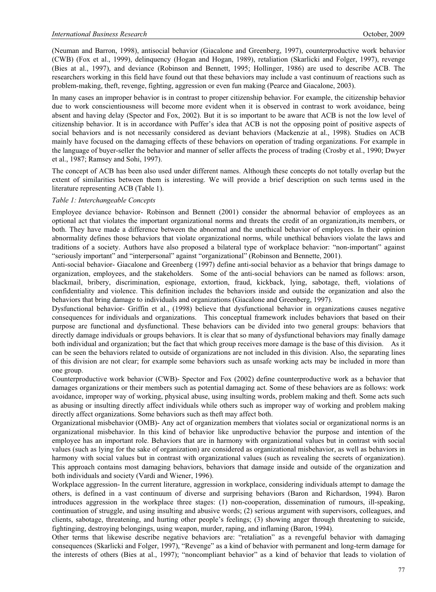(Neuman and Barron, 1998), antisocial behavior (Giacalone and Greenberg, 1997), counterproductive work behavior (CWB) (Fox et al., 1999), delinquency (Hogan and Hogan, 1989), retaliation (Skarlicki and Folger, 1997), revenge (Bies at al., 1997), and deviance (Robinson and Bennett, 1995; Hollinger, 1986) are used to describe ACB. The researchers working in this field have found out that these behaviors may include a vast continuum of reactions such as problem-making, theft, revenge, fighting, aggression or even fun making (Pearce and Giacalone, 2003).

In many cases an improper behavior is in contrast to proper citizenship behavior. For example, the citizenship behavior due to work conscientiousness will become more evident when it is observed in contrast to work avoidance, being absent and having delay (Spector and Fox, 2002). But it is so important to be aware that ACB is not the low level of citizenship behavior. It is in accordance with Puffer's idea that ACB is not the opposing point of positive aspects of social behaviors and is not necessarily considered as deviant behaviors (Mackenzie at al., 1998). Studies on ACB mainly have focused on the damaging effects of these behaviors on operation of trading organizations. For example in the language of buyer-seller the behavior and manner of seller affects the process of trading (Crosby et al., 1990; Dwyer et al., 1987; Ramsey and Sohi, 1997).

The concept of ACB has been also used under different names. Although these concepts do not totally overlap but the extent of similarities between them is interesting. We will provide a brief description on such terms used in the literature representing ACB (Table 1).

#### *Table 1: Interchangeable Concepts*

Employee deviance behavior- Robinson and Bennett (2001) consider the abnormal behavior of employees as an optional act that violates the important organizational norms and threats the credit of an organization,its members, or both. They have made a difference between the abnormal and the unethical behavior of employees. In their opinion abnormality defines those behaviors that violate organizational norms, while unethical behaviors violate the laws and traditions of a society. Authors have also proposed a bilateral type of workplace behavior: "non-important" against "seriously important" and "interpersonal" against "organizational" (Robinson and Bennette, 2001).

Anti-social behavior- Giacalone and Greenberg (1997) define anti-social behavior as a behavior that brings damage to organization, employees, and the stakeholders. Some of the anti-social behaviors can be named as follows: arson, blackmail, bribery, discrimination, espionage, extortion, fraud, kickback, lying, sabotage, theft, violations of confidentiality and violence. This definition includes the behaviors inside and outside the organization and also the behaviors that bring damage to individuals and organizations (Giacalone and Greenberg, 1997).

Dysfunctional behavior- Griffin et al., (1998) believe that dysfunctional behavior in organizations causes negative consequences for individuals and organizations. This conceptual framework includes behaviors that based on their purpose are functional and dysfunctional. These behaviors can be divided into two general groups: behaviors that directly damage individuals or groups behaviors. It is clear that so many of dysfunctional behaviors may finally damage both individual and organization; but the fact that which group receives more damage is the base of this division. As it can be seen the behaviors related to outside of organizations are not included in this division. Also, the separating lines of this division are not clear; for example some behaviors such as unsafe working acts may be included in more than one group.

Counterproductive work behavior (CWB)- Spector and Fox (2002) define counterproductive work as a behavior that damages organizations or their members such as potential damaging act. Some of these behaviors are as follows: work avoidance, improper way of working, physical abuse, using insulting words, problem making and theft. Some acts such as abusing or insulting directly affect individuals while others such as improper way of working and problem making directly affect organizations. Some behaviors such as theft may affect both.

Organizational misbehavior (OMB)- Any act of organization members that violates social or organizational norms is an organizational misbehavior. In this kind of behavior like unproductive behavior the purpose and intention of the employee has an important role. Behaviors that are in harmony with organizational values but in contrast with social values (such as lying for the sake of organization) are considered as organizational misbehavior, as well as behaviors in harmony with social values but in contrast with organizational values (such as revealing the secrets of organization). This approach contains most damaging behaviors, behaviors that damage inside and outside of the organization and both individuals and society (Vardi and Wiener, 1996).

Workplace aggression- In the current literature, aggression in workplace, considering individuals attempt to damage the others, is defined in a vast continuum of diverse and surprising behaviors (Baron and Richardson, 1994). Baron introduces aggression in the workplace three stages: (1) non-cooperation, dissemination of rumours, ill-speaking, continuation of struggle, and using insulting and abusive words; (2) serious argument with supervisors, colleagues, and clients, sabotage, threatening, and hurting other people's feelings; (3) showing anger through threatening to suicide, fightinging, destroying belongings, using weapon, murder, raping, and inflaming (Baron, 1994).

Other terms that likewise describe negative behaviors are: "retaliation" as a revengeful behavior with damaging consequences (Skarlicki and Folger, 1997), "Revenge" as a kind of behavior with permanent and long-term damage for the interests of others (Bies at al., 1997); "noncompliant behavior" as a kind of behavior that leads to violation of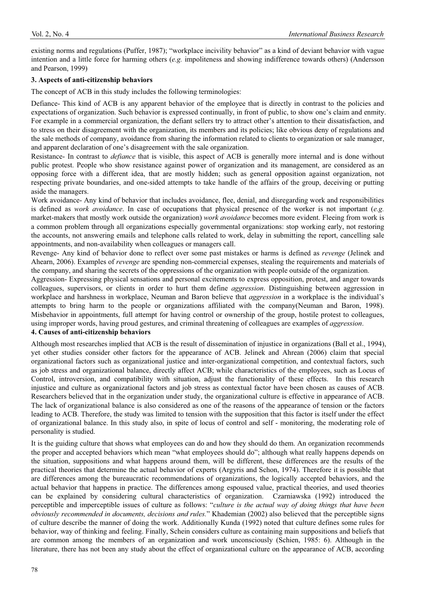existing norms and regulations (Puffer, 1987); "workplace incivility behavior" as a kind of deviant behavior with vague intention and a little force for harming others (*e.g.* impoliteness and showing indifference towards others) (Andersson and Pearson, 1999)

# **3. Aspects of anti-citizenship behaviors**

The concept of ACB in this study includes the following terminologies:

Defiance- This kind of ACB is any apparent behavior of the employee that is directly in contrast to the policies and expectations of organization. Such behavior is expressed continually, in front of public, to show one's claim and enmity. For example in a commercial organization, the defiant sellers try to attract other's attention to their dissatisfaction, and to stress on their disagreement with the organization, its members and its policies; like obvious deny of regulations and the sale methods of company, avoidance from sharing the information related to clients to organization or sale manager, and apparent declaration of one's disagreement with the sale organization.

Resistance- In contrast to *defiance* that is visible, this aspect of ACB is generally more internal and is done without public protest. People who show resistance against power of organization and its management, are considered as an opposing force with a different idea, that are mostly hidden; such as general opposition against organization, not respecting private boundaries, and one-sided attempts to take handle of the affairs of the group, deceiving or putting aside the managers.

Work avoidance- Any kind of behavior that includes avoidance, flee, denial, and disregarding work and responsibilities is defined as *work avoidance*. In case of occupations that physical presence of the worker is not important (*e.g.* market-makers that mostly work outside the organization) *work avoidance* becomes more evident. Fleeing from work is a common problem through all organizations especially governmental organizations: stop working early, not restoring the accounts, not answering emails and telephone calls related to work, delay in submitting the report, cancelling sale appointments, and non-availability when colleagues or managers call.

Revenge- Any kind of behavior done to reflect over some past mistakes or harms is defined as *revenge* (Jelinek and Ahearn, 2006). Examples of *revenge* are spending non-commercial expenses, stealing the requirements and materials of the company, and sharing the secrets of the oppressions of the organization with people outside of the organization.

Aggression- Expressing physical sensations and personal excitements to express opposition, protest, and anger towards colleagues, supervisors, or clients in order to hurt them define *aggression*. Distinguishing between aggression in workplace and harshness in workplace, Neuman and Baron believe that *aggression* in a workplace is the individual's attempts to bring harm to the people or organizations affiliated with the company(Neuman and Baron, 1998). Misbehavior in appointments, full attempt for having control or ownership of the group, hostile protest to colleagues, using improper words, having proud gestures, and criminal threatening of colleagues are examples of *aggression*.

#### **4. Causes of anti-citizenship behaviors**

Although most researches implied that ACB is the result of dissemination of injustice in organizations (Ball et al., 1994), yet other studies consider other factors for the appearance of ACB. Jelinek and Ahrean (2006) claim that special organizational factors such as organizational justice and inter-organizational competition, and contextual factors, such as job stress and organizational balance, directly affect ACB; while characteristics of the employees, such as Locus of Control, introversion, and compatibility with situation, adjust the functionality of these effects. In this research injustice and culture as organizational factors and job stress as contextual factor have been chosen as causes of ACB. Researchers believed that in the organization under study, the organizational culture is effective in appearance of ACB. The lack of organizational balance is also considered as one of the reasons of the appearance of tension or the factors leading to ACB. Therefore, the study was limited to tension with the supposition that this factor is itself under the effect of organizational balance. In this study also, in spite of locus of control and self - monitoring, the moderating role of personality is studied.

It is the guiding culture that shows what employees can do and how they should do them. An organization recommends the proper and accepted behaviors which mean "what employees should do"; although what really happens depends on the situation, suppositions and what happens around them, will be different, these differences are the results of the practical theories that determine the actual behavior of experts (Argyris and Schon, 1974). Therefore it is possible that are differences among the bureaucratic recommendations of organizations, the logically accepted behaviors, and the actual behavior that happens in practice. The differences among espoused value, practical theories, and used theories can be explained by considering cultural characteristics of organization. Czarniawska (1992) introduced the perceptible and imperceptible issues of culture as follows: "*culture is the actual way of doing things that have been obviously recommended in documents, decisions and rules.*" Khademian (2002) also believed that the perceptible signs of culture describe the manner of doing the work. Additionally Kunda (1992) noted that culture defines some rules for behavior, way of thinking and feeling. Finally, Schein considers culture as containing main suppositions and beliefs that are common among the members of an organization and work unconsciously (Schien, 1985: 6). Although in the literature, there has not been any study about the effect of organizational culture on the appearance of ACB, according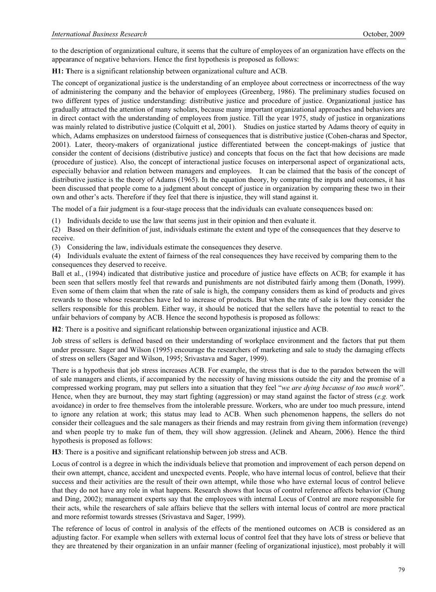to the description of organizational culture, it seems that the culture of employees of an organization have effects on the appearance of negative behaviors. Hence the first hypothesis is proposed as follows:

**H1: T**here is a significant relationship between organizational culture and ACB.

The concept of organizational justice is the understanding of an employee about correctness or incorrectness of the way of administering the company and the behavior of employees (Greenberg, 1986). The preliminary studies focused on two different types of justice understanding: distributive justice and procedure of justice. Organizational justice has gradually attracted the attention of many scholars, because many important organizational approaches and behaviors are in direct contact with the understanding of employees from justice. Till the year 1975, study of justice in organizations was mainly related to distributive justice (Colquitt et al, 2001). Studies on justice started by Adams theory of equity in which, Adams emphasizes on understood fairness of consequences that is distributive justice (Cohen-charas and Spector, 2001). Later, theory-makers of organizational justice differentiated between the concept-makings of justice that consider the content of decisions (distributive justice) and concepts that focus on the fact that how decisions are made (procedure of justice). Also, the concept of interactional justice focuses on interpersonal aspect of organizational acts, especially behavior and relation between managers and employees. It can be claimed that the basis of the concept of distributive justice is the theory of Adams (1965). In the equation theory, by comparing the inputs and outcomes, it has been discussed that people come to a judgment about concept of justice in organization by comparing these two in their own and other's acts. Therefore if they feel that there is injustice, they will stand against it.

The model of a fair judgment is a four-stage process that the individuals can evaluate consequences based on:

(1) Individuals decide to use the law that seems just in their opinion and then evaluate it.

(2) Based on their definition of just, individuals estimate the extent and type of the consequences that they deserve to receive.

(3) Considering the law, individuals estimate the consequences they deserve.

(4) Individuals evaluate the extent of fairness of the real consequences they have received by comparing them to the consequences they deserved to receive.

Ball et al., (1994) indicated that distributive justice and procedure of justice have effects on ACB; for example it has been seen that sellers mostly feel that rewards and punishments are not distributed fairly among them (Donath, 1999). Even some of them claim that when the rate of sale is high, the company considers them as kind of products and gives rewards to those whose researches have led to increase of products. But when the rate of sale is low they consider the sellers responsible for this problem. Either way, it should be noticed that the sellers have the potential to react to the unfair behaviors of company by ACB. Hence the second hypothesis is proposed as follows:

**H2**: There is a positive and significant relationship between organizational injustice and ACB.

Job stress of sellers is defined based on their understanding of workplace environment and the factors that put them under pressure. Sager and Wilson (1995) encourage the researchers of marketing and sale to study the damaging effects of stress on sellers (Sager and Wilson, 1995; Srivastava and Sager, 1999).

There is a hypothesis that job stress increases ACB. For example, the stress that is due to the paradox between the will of sale managers and clients, if accompanied by the necessity of having missions outside the city and the promise of a compressed working program, may put sellers into a situation that they feel "*we are dying because of too much work*". Hence, when they are burnout, they may start fighting (aggression) or may stand against the factor of stress (*e.g.* work avoidance) in order to free themselves from the intolerable pressure. Workers, who are under too much pressure, intend to ignore any relation at work; this status may lead to ACB. When such phenomenon happens, the sellers do not consider their colleagues and the sale managers as their friends and may restrain from giving them information (revenge) and when people try to make fun of them, they will show aggression. (Jelinek and Ahearn, 2006). Hence the third hypothesis is proposed as follows:

**H3**: There is a positive and significant relationship between job stress and ACB.

Locus of control is a degree in which the individuals believe that promotion and improvement of each person depend on their own attempt, chance, accident and unexpected events. People, who have internal locus of control, believe that their success and their activities are the result of their own attempt, while those who have external locus of control believe that they do not have any role in what happens. Research shows that locus of control reference affects behavior (Chung and Ding, 2002); management experts say that the employees with internal Locus of Control are more responsible for their acts, while the researchers of sale affairs believe that the sellers with internal locus of control are more practical and more reformist towards stresses (Srivastava and Sager, 1999).

The reference of locus of control in analysis of the effects of the mentioned outcomes on ACB is considered as an adjusting factor. For example when sellers with external locus of control feel that they have lots of stress or believe that they are threatened by their organization in an unfair manner (feeling of organizational injustice), most probably it will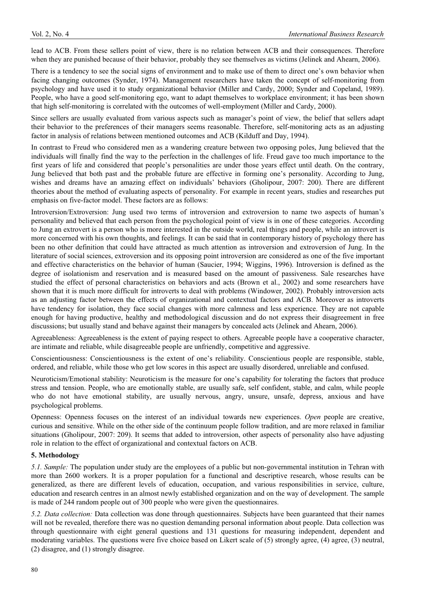lead to ACB. From these sellers point of view, there is no relation between ACB and their consequences. Therefore when they are punished because of their behavior, probably they see themselves as victims (Jelinek and Ahearn, 2006).

There is a tendency to see the social signs of environment and to make use of them to direct one's own behavior when facing changing outcomes (Synder, 1974). Management researchers have taken the concept of self-monitoring from psychology and have used it to study organizational behavior (Miller and Cardy, 2000; Synder and Copeland, 1989). People, who have a good self-monitoring ego, want to adapt themselves to workplace environment; it has been shown that high self-monitoring is correlated with the outcomes of well-employment (Miller and Cardy, 2000).

Since sellers are usually evaluated from various aspects such as manager's point of view, the belief that sellers adapt their behavior to the preferences of their managers seems reasonable. Therefore, self-monitoring acts as an adjusting factor in analysis of relations between mentioned outcomes and ACB (Kilduff and Day, 1994).

In contrast to Freud who considered men as a wandering creature between two opposing poles, Jung believed that the individuals will finally find the way to the perfection in the challenges of life. Freud gave too much importance to the first years of life and considered that people's personalities are under those years effect until death. On the contrary, Jung believed that both past and the probable future are effective in forming one's personality. According to Jung, wishes and dreams have an amazing effect on individuals' behaviors (Gholipour, 2007: 200). There are different theories about the method of evaluating aspects of personality. For example in recent years, studies and researches put emphasis on five-factor model. These factors are as follows:

Introversion/Extroversion: Jung used two terms of introversion and extroversion to name two aspects of human's personality and believed that each person from the psychological point of view is in one of these categories. According to Jung an extrovert is a person who is more interested in the outside world, real things and people, while an introvert is more concerned with his own thoughts, and feelings. It can be said that in contemporary history of psychology there has been no other definition that could have attracted as much attention as introversion and extroversion of Jung. In the literature of social sciences, extroversion and its opposing point introversion are considered as one of the five important and effective characteristics on the behavior of human (Saucier, 1994; Wiggins, 1996). Introversion is defined as the degree of isolationism and reservation and is measured based on the amount of passiveness. Sale researches have studied the effect of personal characteristics on behaviors and acts (Brown et al., 2002) and some researchers have shown that it is much more difficult for introverts to deal with problems (Windower, 2002). Probably introversion acts as an adjusting factor between the effects of organizational and contextual factors and ACB. Moreover as introverts have tendency for isolation, they face social changes with more calmness and less experience. They are not capable enough for having productive, healthy and methodological discussion and do not express their disagreement in free discussions; but usually stand and behave against their managers by concealed acts (Jelinek and Ahearn, 2006).

Agreeableness: Agreeableness is the extent of paying respect to others. Agreeable people have a cooperative character, are intimate and reliable, while disagreeable people are unfriendly, competitive and aggressive.

Conscientiousness: Conscientiousness is the extent of one's reliability. Conscientious people are responsible, stable, ordered, and reliable, while those who get low scores in this aspect are usually disordered, unreliable and confused.

Neuroticism/Emotional stability: Neuroticism is the measure for one's capability for tolerating the factors that produce stress and tension. People, who are emotionally stable, are usually safe, self confident, stable, and calm, while people who do not have emotional stability, are usually nervous, angry, unsure, unsafe, depress, anxious and have psychological problems.

Openness: Openness focuses on the interest of an individual towards new experiences. *Open* people are creative, curious and sensitive. While on the other side of the continuum people follow tradition, and are more relaxed in familiar situations (Gholipour, 2007: 209). It seems that added to introversion, other aspects of personality also have adjusting role in relation to the effect of organizational and contextual factors on ACB.

# **5. Methodology**

*5.1. Sample:* The population under study are the employees of a public but non-governmental institution in Tehran with more than 2600 workers. It is a proper population for a functional and descriptive research, whose results can be generalized, as there are different levels of education, occupation, and various responsibilities in service, culture, education and research centres in an almost newly established organization and on the way of development. The sample is made of 244 random people out of 300 people who were given the questionnaires.

*5.2. Data collection:* Data collection was done through questionnaires. Subjects have been guaranteed that their names will not be revealed, therefore there was no question demanding personal information about people. Data collection was through questionnaire with eight general questions and 131 questions for measuring independent, dependent and moderating variables. The questions were five choice based on Likert scale of (5) strongly agree, (4) agree, (3) neutral, (2) disagree, and (1) strongly disagree.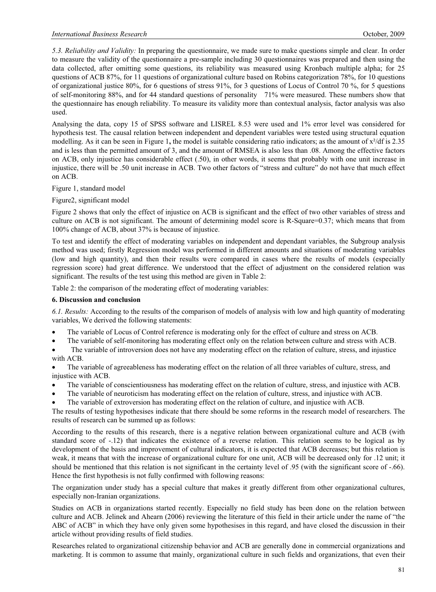*5.3. Reliability and Validity:* In preparing the questionnaire, we made sure to make questions simple and clear. In order to measure the validity of the questionnaire a pre-sample including 30 questionnaires was prepared and then using the data collected, after omitting some questions, its reliability was measured using Kronbach multiple alpha; for 25 questions of ACB 87%, for 11 questions of organizational culture based on Robins categorization 78%, for 10 questions of organizational justice 80%, for 6 questions of stress 91%, for 3 questions of Locus of Control 70 %, for 5 questions of self-monitoring 88%, and for 44 standard questions of personality 71% were measured. These numbers show that the questionnaire has enough reliability. To measure its validity more than contextual analysis, factor analysis was also used.

Analysing the data, copy 15 of SPSS software and LISREL 8.53 were used and 1% error level was considered for hypothesis test. The causal relation between independent and dependent variables were tested using structural equation modelling. As it can be seen in Figure 1, the model is suitable considering ratio indicators; as the amount of  $x^2/df$  is 2.35 and is less than the permitted amount of 3, and the amount of RMSEA is also less than .08. Among the effective factors on ACB, only injustice has considerable effect (.50), in other words, it seems that probably with one unit increase in injustice, there will be .50 unit increase in ACB. Two other factors of "stress and culture" do not have that much effect on ACB.

# Figure 1, standard model

# Figure2, significant model

Figure 2 shows that only the effect of injustice on ACB is significant and the effect of two other variables of stress and culture on ACB is not significant. The amount of determining model score is R-Square=0.37; which means that from 100% change of ACB, about 37% is because of injustice.

To test and identify the effect of moderating variables on independent and dependant variables, the Subgroup analysis method was used; firstly Regression model was performed in different amounts and situations of moderating variables (low and high quantity), and then their results were compared in cases where the results of models (especially regression score) had great difference. We understood that the effect of adjustment on the considered relation was significant. The results of the test using this method are given in Table 2:

Table 2: the comparison of the moderating effect of moderating variables:

# **6. Discussion and conclusion**

*6.1. Results:* According to the results of the comparison of models of analysis with low and high quantity of moderating variables, We derived the following statements:

- The variable of Locus of Control reference is moderating only for the effect of culture and stress on ACB.
- The variable of self-monitoring has moderating effect only on the relation between culture and stress with ACB.

The variable of introversion does not have any moderating effect on the relation of culture, stress, and injustice with ACB.

The variable of agreeableness has moderating effect on the relation of all three variables of culture, stress, and injustice with ACB.

- The variable of conscientiousness has moderating effect on the relation of culture, stress, and injustice with ACB.
- The variable of neuroticism has moderating effect on the relation of culture, stress, and injustice with ACB.
- The variable of extroversion has moderating effect on the relation of culture, and injustice with ACB.

The results of testing hypothesises indicate that there should be some reforms in the research model of researchers. The results of research can be summed up as follows:

According to the results of this research, there is a negative relation between organizational culture and ACB (with standard score of -.12) that indicates the existence of a reverse relation. This relation seems to be logical as by development of the basis and improvement of cultural indicators, it is expected that ACB decreases; but this relation is weak, it means that with the increase of organizational culture for one unit, ACB will be decreased only for .12 unit; it should be mentioned that this relation is not significant in the certainty level of .95 (with the significant score of -.66). Hence the first hypothesis is not fully confirmed with following reasons:

The organization under study has a special culture that makes it greatly different from other organizational cultures, especially non-Iranian organizations.

Studies on ACB in organizations started recently. Especially no field study has been done on the relation between culture and ACB. Jelinek and Ahearn (2006) reviewing the literature of this field in their article under the name of "the ABC of ACB" in which they have only given some hypothesises in this regard, and have closed the discussion in their article without providing results of field studies.

Researches related to organizational citizenship behavior and ACB are generally done in commercial organizations and marketing. It is common to assume that mainly, organizational culture in such fields and organizations, that even their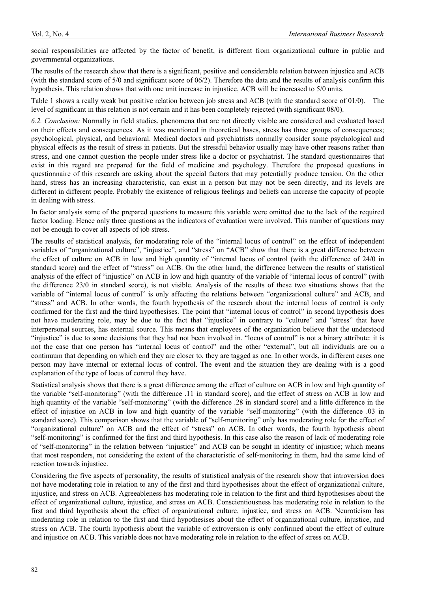social responsibilities are affected by the factor of benefit, is different from organizational culture in public and governmental organizations.

The results of the research show that there is a significant, positive and considerable relation between injustice and ACB (with the standard score of 5/0 and significant score of 06/2). Therefore the data and the results of analysis confirm this hypothesis. This relation shows that with one unit increase in injustice, ACB will be increased to 5/0 units.

Table 1 shows a really weak but positive relation between job stress and ACB (with the standard score of 01/0). The level of significant in this relation is not certain and it has been completely rejected (with significant 08/0).

*6.2. Conclusion:* Normally in field studies, phenomena that are not directly visible are considered and evaluated based on their effects and consequences. As it was mentioned in theoretical bases, stress has three groups of consequences; psychological, physical, and behavioral. Medical doctors and psychiatrists normally consider some psychological and physical effects as the result of stress in patients. But the stressful behavior usually may have other reasons rather than stress, and one cannot question the people under stress like a doctor or psychiatrist. The standard questionnaires that exist in this regard are prepared for the field of medicine and psychology. Therefore the proposed questions in questionnaire of this research are asking about the special factors that may potentially produce tension. On the other hand, stress has an increasing characteristic, can exist in a person but may not be seen directly, and its levels are different in different people. Probably the existence of religious feelings and beliefs can increase the capacity of people in dealing with stress.

In factor analysis some of the prepared questions to measure this variable were omitted due to the lack of the required factor loading. Hence only three questions as the indicators of evaluation were involved. This number of questions may not be enough to cover all aspects of job stress.

The results of statistical analysis, for moderating role of the "internal locus of control" on the effect of independent variables of "organizational culture", "injustice", and "stress" on "ACB" show that there is a great difference between the effect of culture on ACB in low and high quantity of "internal locus of control (with the difference of 24/0 in standard score) and the effect of "stress" on ACB. On the other hand, the difference between the results of statistical analysis of the effect of "injustice" on ACB in low and high quantity of the variable of "internal locus of control" (with the difference 23/0 in standard score), is not visible. Analysis of the results of these two situations shows that the variable of "internal locus of control" is only affecting the relations between "organizational culture" and ACB, and "stress" and ACB. In other words, the fourth hypothesis of the research about the internal locus of control is only confirmed for the first and the third hypothesises. The point that "internal locus of control" in second hypothesis does not have moderating role, may be due to the fact that "injustice" in contrary to "culture" and "stress" that have interpersonal sources, has external source. This means that employees of the organization believe that the understood "injustice" is due to some decisions that they had not been involved in. "locus of control" is not a binary attribute: it is not the case that one person has "internal locus of control" and the other "external", but all individuals are on a continuum that depending on which end they are closer to, they are tagged as one. In other words, in different cases one person may have internal or external locus of control. The event and the situation they are dealing with is a good explanation of the type of locus of control they have.

Statistical analysis shows that there is a great difference among the effect of culture on ACB in low and high quantity of the variable "self-monitoring" (with the difference .11 in standard score), and the effect of stress on ACB in low and high quantity of the variable "self-monitoring" (with the difference .28 in standard score) and a little difference in the effect of injustice on ACB in low and high quantity of the variable "self-monitoring" (with the difference .03 in standard score). This comparison shows that the variable of "self-monitoring" only has moderating role for the effect of "organizational culture" on ACB and the effect of "stress" on ACB. In other words, the fourth hypothesis about "self-monitoring" is confirmed for the first and third hypothesis. In this case also the reason of lack of moderating role of "self-monitoring" in the relation between "injustice" and ACB can be sought in identity of injustice; which means that most responders, not considering the extent of the characteristic of self-monitoring in them, had the same kind of reaction towards injustice.

Considering the five aspects of personality, the results of statistical analysis of the research show that introversion does not have moderating role in relation to any of the first and third hypothesises about the effect of organizational culture, injustice, and stress on ACB. Agreeableness has moderating role in relation to the first and third hypothesises about the effect of organizational culture, injustice, and stress on ACB. Conscientiousness has moderating role in relation to the first and third hypothesis about the effect of organizational culture, injustice, and stress on ACB. Neuroticism has moderating role in relation to the first and third hypothesises about the effect of organizational culture, injustice, and stress on ACB. The fourth hypothesis about the variable of extroversion is only confirmed about the effect of culture and injustice on ACB. This variable does not have moderating role in relation to the effect of stress on ACB.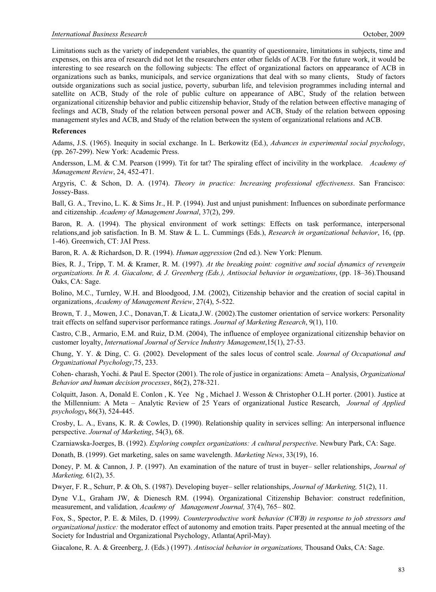Limitations such as the variety of independent variables, the quantity of questionnaire, limitations in subjects, time and expenses, on this area of research did not let the researchers enter other fields of ACB. For the future work, it would be interesting to see research on the following subjects: The effect of organizational factors on appearance of ACB in organizations such as banks, municipals, and service organizations that deal with so many clients, Study of factors outside organizations such as social justice, poverty, suburban life, and television programmes including internal and satellite on ACB, Study of the role of public culture on appearance of ABC, Study of the relation between organizational citizenship behavior and public citizenship behavior, Study of the relation between effective managing of feelings and ACB, Study of the relation between personal power and ACB, Study of the relation between opposing management styles and ACB, and Study of the relation between the system of organizational relations and ACB.

#### **References**

Adams, J.S. (1965). Inequity in social exchange. In L. Berkowitz (Ed.), *Advances in experimental social psychology*, (pp. 267-299). New York: Academic Press.

Andersson, L.M. & C.M. Pearson (1999). Tit for tat? The spiraling effect of incivility in the workplace. *Academy of Management Review*, 24, 452-471.

Argyris, C. & Schon, D. A. (1974). *Theory in practice: Increasing professional effectiveness*. San Francisco: Jossey-Bass.

Ball, G. A., Trevino, L. K. & Sims Jr., H. P. (1994). Just and unjust punishment: Influences on subordinate performance and citizenship. *Academy of Management Journal*, 37(2), 299.

Baron, R. A. (1994). The physical environment of work settings: Effects on task performance, interpersonal relations,and job satisfaction. In B. M. Staw & L. L. Cummings (Eds.), *Research in organizational behavior*, 16, (pp. 1-46). Greenwich, CT: JAI Press.

Baron, R. A. & Richardson, D. R. (1994). *Human aggression* (2nd ed.). New York: Plenum.

Bies, R. J., Tripp, T. M. & Kramer, R. M. (1997). *At the breaking point: cognitive and social dynamics of revengein organizations. In R. A. Giacalone, & J. Greenberg (Eds.), Antisocial behavior in organizations*, (pp. 18–36).Thousand Oaks, CA: Sage.

Bolino, M.C., Turnley, W.H. and Bloodgood, J.M. (2002), Citizenship behavior and the creation of social capital in organizations, *Academy of Management Review*, 27(4), 5-522.

Brown, T. J., Mowen, J.C., Donavan,T. & Licata,J.W. (2002).The customer orientation of service workers: Personality trait effects on selfand supervisor performance ratings. *Journal of Marketing Research*, 9(1), 110.

Castro, C.B., Armario, E.M. and Ruiz, D.M. (2004), The influence of employee organizational citizenship behavior on customer loyalty, *International Journal of Service Industry Management*,15(1), 27-53.

Chung, Y. Y. & Ding, C. G. (2002). Development of the sales locus of control scale. *Journal of Occupational and Organizational Psychology*,75, 233.

Cohen- charash, Yochi. & Paul E. Spector (2001). The role of justice in organizations: Ameta – Analysis, *Organizational Behavior and human decision processes*, 86(2), 278-321.

Colquitt, Jason. A, Donald E. Conlon , K. Yee Ng , Michael J. Wesson & Christopher O.L.H porter. (2001). Justice at the Millennium: A Meta – Analytic Review of 25 Years of organizational Justice Research, *Journal of Applied psychology***,** 86(3), 524-445.

Crosby, L. A., Evans, K. R. & Cowles, D. (1990). Relationship quality in services selling: An interpersonal influence perspective. *Journal of Marketing*, 54(3), 68.

Czarniawska-Joerges, B. (1992). *Exploring complex organizations: A cultural perspective*. Newbury Park, CA: Sage.

Donath, B. (1999). Get marketing, sales on same wavelength. *Marketing News*, 33(19), 16.

Doney, P. M. & Cannon, J. P. (1997). An examination of the nature of trust in buyer– seller relationships, *Journal of Marketing,* 61(2), 35.

Dwyer, F. R., Schurr, P. & Oh, S. (1987). Developing buyer– seller relationships, *Journal of Marketing,* 51(2), 11.

Dyne V.L, Graham JW, & Dienesch RM. (1994). Organizational Citizenship Behavior: construct redefinition, measurement, and validation*, Academy of Management Journal,* 37(4), 765– 802.

Fox, S., Spector, P. E. & Miles, D. (1999*). Counterproductive work behavior (CWB) in response to job stressors and organizational justice:* the moderator effect of autonomy and emotion traits. Paper presented at the annual meeting of the Society for Industrial and Organizational Psychology, Atlanta(April-May).

Giacalone, R. A. & Greenberg, J. (Eds.) (1997). *Antisocial behavior in organizations,* Thousand Oaks, CA: Sage.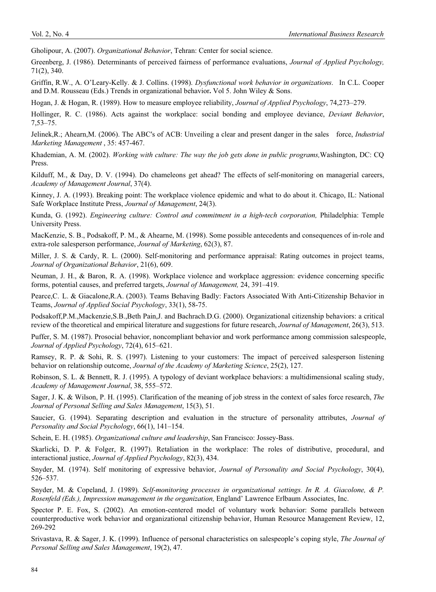Gholipour, A. (2007). *Organizational Behavior*, Tehran: Center for social science.

Greenberg, J. (1986). Determinants of perceived fairness of performance evaluations, *Journal of Applied Psychology,* 71(2), 340.

Griffin, R.W., A. O'Leary-Kelly. & J. Collins. (1998). *Dysfunctional work behavior in organizations*. In C.L. Cooper and D.M. Rousseau (Eds.) Trends in organizational behavior**.** Vol 5. John Wiley & Sons.

Hogan, J. & Hogan, R. (1989). How to measure employee reliability, *Journal of Applied Psychology*, 74,273–279.

Hollinger, R. C. (1986). Acts against the workplace: social bonding and employee deviance, *Deviant Behavior*, 7,53–75.

Jelinek,R.; Ahearn,M. (2006). The ABC's of ACB: Unveiling a clear and present danger in the sales force, *Industrial Marketing Management* , 35: 457-467.

Khademian, A. M. (2002). *Working with culture: The way the job gets done in public programs,*Washington, DC: CQ Press.

Kilduff, M., & Day, D. V. (1994). Do chameleons get ahead? The effects of self-monitoring on managerial careers, *Academy of Management Journal*, 37(4).

Kinney, J. A. (1993). Breaking point: The workplace violence epidemic and what to do about it. Chicago, IL: National Safe Workplace Institute Press, *Journal of Management*, 24(3).

Kunda, G. (1992). *Engineering culture: Control and commitment in a high-tech corporation,* Philadelphia: Temple University Press.

MacKenzie, S. B., Podsakoff, P. M., & Ahearne, M. (1998). Some possible antecedents and consequences of in-role and extra-role salesperson performance, *Journal of Marketing*, 62(3), 87.

Miller, J. S. & Cardy, R. L. (2000). Self-monitoring and performance appraisal: Rating outcomes in project teams, *Journal of Organizational Behavior*, 21(6), 609.

Neuman, J. H., & Baron, R. A. (1998). Workplace violence and workplace aggression: evidence concerning specific forms, potential causes, and preferred targets, *Journal of Management,* 24, 391–419.

Pearce,C. L. & Giacalone,R.A. (2003). Teams Behaving Badly: Factors Associated With Anti-Citizenship Behavior in Teams, *Journal of Applied Social Psychology*, 33(1), 58-75.

Podsakoff,P.M.,Mackenzie,S.B.,Beth Pain,J. and Bachrach.D.G. (2000). Organizational citizenship behaviors: a critical review of the theoretical and empirical literature and suggestions for future research, *Journal of Management*, 26(3), 513.

Puffer, S. M. (1987). Prosocial behavior, noncompliant behavior and work performance among commission salespeople, *Journal of Applied Psychology*, 72(4), 615–621.

Ramsey, R. P. & Sohi, R. S. (1997). Listening to your customers: The impact of perceived salesperson listening behavior on relationship outcome, *Journal of the Academy of Marketing Science*, 25(2), 127.

Robinson, S. L. & Bennett, R. J. (1995). A typology of deviant workplace behaviors: a multidimensional scaling study, *Academy of Management Journal*, 38, 555–572.

Sager, J. K. & Wilson, P. H. (1995). Clarification of the meaning of job stress in the context of sales force research, *The Journal of Personal Selling and Sales Management*, 15(3), 51.

Saucier, G. (1994). Separating description and evaluation in the structure of personality attributes, *Journal of Personality and Social Psychology*, 66(1), 141–154.

Schein, E. H. (1985). *Organizational culture and leadership*, San Francisco: Jossey-Bass.

Skarlicki, D. P. & Folger, R. (1997). Retaliation in the workplace: The roles of distributive, procedural, and interactional justice, *Journal of Applied Psychology*, 82(3), 434.

Snyder, M. (1974). Self monitoring of expressive behavior, *Journal of Personality and Social Psychology*, 30(4), 526–537.

Snyder, M. & Copeland, J. (1989). *Self-monitoring processes in organizational settings. In R. A. Giacolone, & P. Rosenfeld (Eds.), Impression management in the organization,* England' Lawrence Erlbaum Associates, Inc.

Spector P. E. Fox, S. (2002). An emotion-centered model of voluntary work behavior: Some parallels between counterproductive work behavior and organizational citizenship behavior, Human Resource Management Review, 12, 269-292

Srivastava, R. & Sager, J. K. (1999). Influence of personal characteristics on salespeople's coping style, *The Journal of Personal Selling and Sales Management*, 19(2), 47.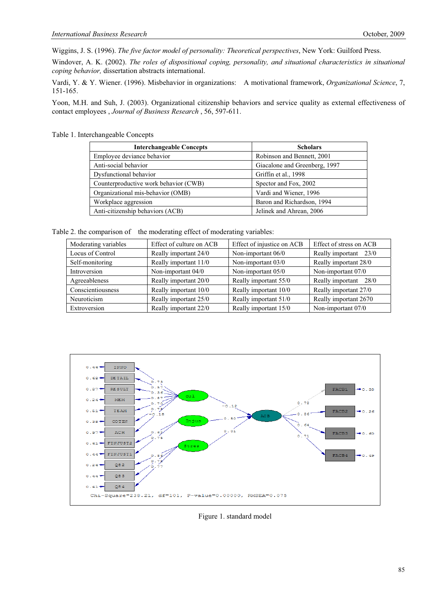Wiggins, J. S. (1996). *The five factor model of personality: Theoretical perspectives*, New York: Guilford Press.

Windover, A. K. (2002). *The roles of dispositional coping, personality, and situational characteristics in situational coping behavior,* dissertation abstracts international.

Vardi, Y. & Y. Wiener. (1996). Misbehavior in organizations: A motivational framework, *Organizational Science*, 7, 151-165.

Yoon, M.H. and Suh, J. (2003). Organizational citizenship behaviors and service quality as external effectiveness of contact employees , *Journal of Business Research* , 56, 597-611.

Table 1. Interchangeable Concepts

| <b>Interchangeable Concepts</b>       | <b>Scholars</b>               |  |
|---------------------------------------|-------------------------------|--|
| Employee deviance behavior            | Robinson and Bennett, 2001    |  |
| Anti-social behavior                  | Giacalone and Greenberg, 1997 |  |
| Dysfunctional behavior                | Griffin et al., 1998          |  |
| Counterproductive work behavior (CWB) | Spector and Fox, 2002         |  |
| Organizational mis-behavior (OMB)     | Vardi and Wiener, 1996        |  |
| Workplace aggression                  | Baron and Richardson, 1994    |  |
| Anti-citizenship behaviors (ACB)      | Jelinek and Ahrean, 2006      |  |

Table 2. the comparison of the moderating effect of moderating variables:

| Moderating variables | Effect of culture on ACB | Effect of injustice on ACB | Effect of stress on ACB |
|----------------------|--------------------------|----------------------------|-------------------------|
| Locus of Control     | Really important 24/0    | Non-important 06/0         | Really important 23/0   |
| Self-monitoring      | Really important 11/0    | Non-important 03/0         | Really important 28/0   |
| Introversion         | Non-important 04/0       | Non-important 05/0         | Non-important 07/0      |
| Agreeableness        | Really important 20/0    | Really important 55/0      | Really important 28/0   |
| Conscientiousness    | Really important 10/0    | Really important 10/0      | Really important 27/0   |
| Neuroticism          | Really important 25/0    | Really important 51/0      | Really important 2670   |
| Extroversion         | Really important 22/0    | Really important 15/0      | Non-important 07/0      |



Figure 1. standard model